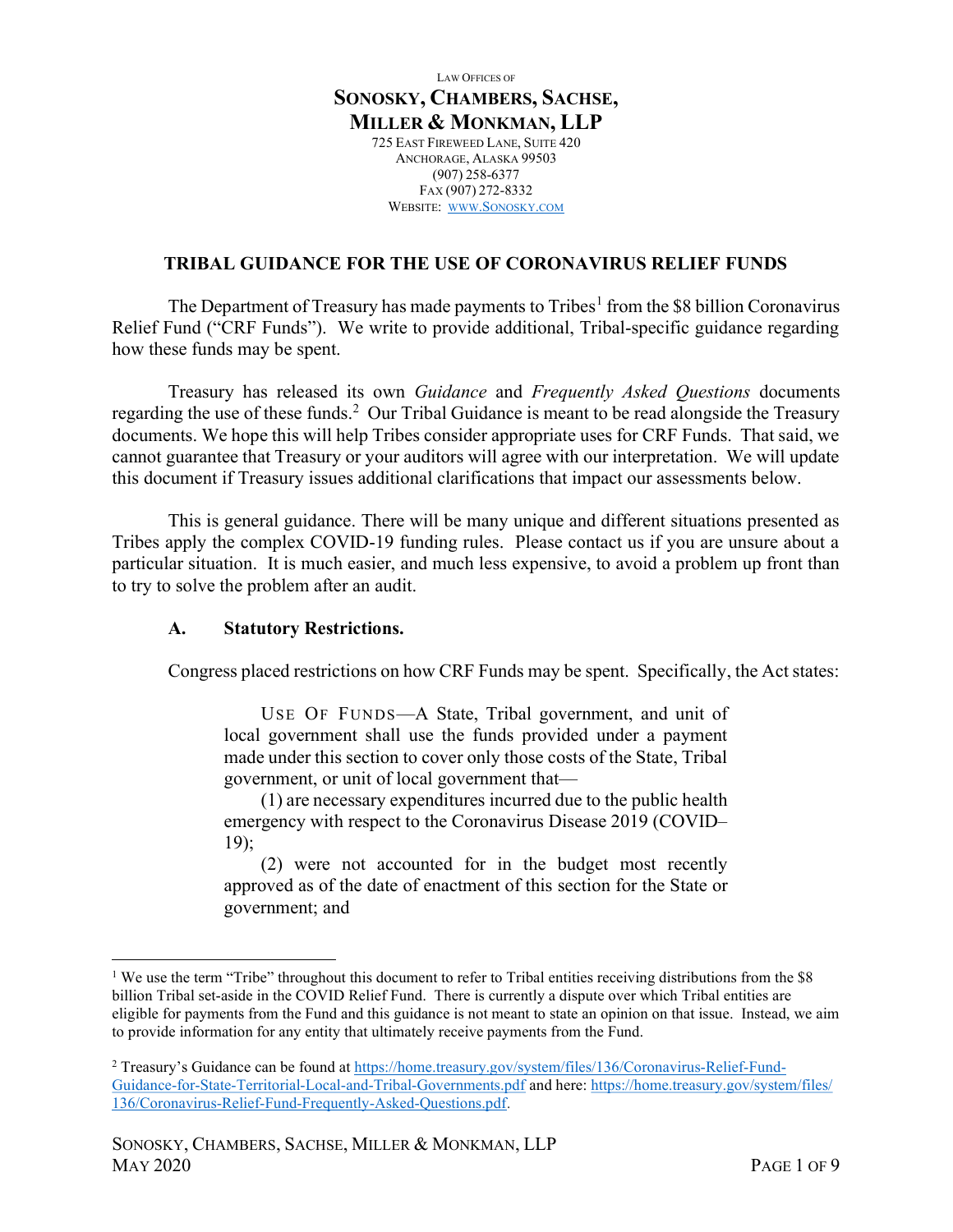LAW OFFICES OF SONOSKY, CHAMBERS, SACHSE, MILLER & MONKMAN, LLP 725 EAST FIREWEED LANE, SUITE 420 ANCHORAGE, ALASKA 99503 (907) 258-6377 FAX (907) 272-8332 WEBSITE: WWW.SONOSKY.COM

#### TRIBAL GUIDANCE FOR THE USE OF CORONAVIRUS RELIEF FUNDS

The Department of Treasury has made payments to Tribes<sup>1</sup> from the \$8 billion Coronavirus Relief Fund ("CRF Funds"). We write to provide additional, Tribal-specific guidance regarding how these funds may be spent.

Treasury has released its own Guidance and Frequently Asked Questions documents regarding the use of these funds.<sup>2</sup> Our Tribal Guidance is meant to be read alongside the Treasury documents. We hope this will help Tribes consider appropriate uses for CRF Funds. That said, we cannot guarantee that Treasury or your auditors will agree with our interpretation. We will update this document if Treasury issues additional clarifications that impact our assessments below.

This is general guidance. There will be many unique and different situations presented as Tribes apply the complex COVID-19 funding rules. Please contact us if you are unsure about a particular situation. It is much easier, and much less expensive, to avoid a problem up front than to try to solve the problem after an audit.

#### A. Statutory Restrictions.

Congress placed restrictions on how CRF Funds may be spent. Specifically, the Act states:

USE OF FUNDS—A State, Tribal government, and unit of local government shall use the funds provided under a payment made under this section to cover only those costs of the State, Tribal government, or unit of local government that—

(1) are necessary expenditures incurred due to the public health emergency with respect to the Coronavirus Disease 2019 (COVID– 19);

(2) were not accounted for in the budget most recently approved as of the date of enactment of this section for the State or government; and

<sup>&</sup>lt;sup>1</sup> We use the term "Tribe" throughout this document to refer to Tribal entities receiving distributions from the \$8 billion Tribal set-aside in the COVID Relief Fund. There is currently a dispute over which Tribal entities are eligible for payments from the Fund and this guidance is not meant to state an opinion on that issue. Instead, we aim to provide information for any entity that ultimately receive payments from the Fund.

<sup>&</sup>lt;sup>2</sup> Treasury's Guidance can be found at https://home.treasury.gov/system/files/136/Coronavirus-Relief-Fund-Guidance-for-State-Territorial-Local-and-Tribal-Governments.pdf and here: https://home.treasury.gov/system/files/ 136/Coronavirus-Relief-Fund-Frequently-Asked-Questions.pdf.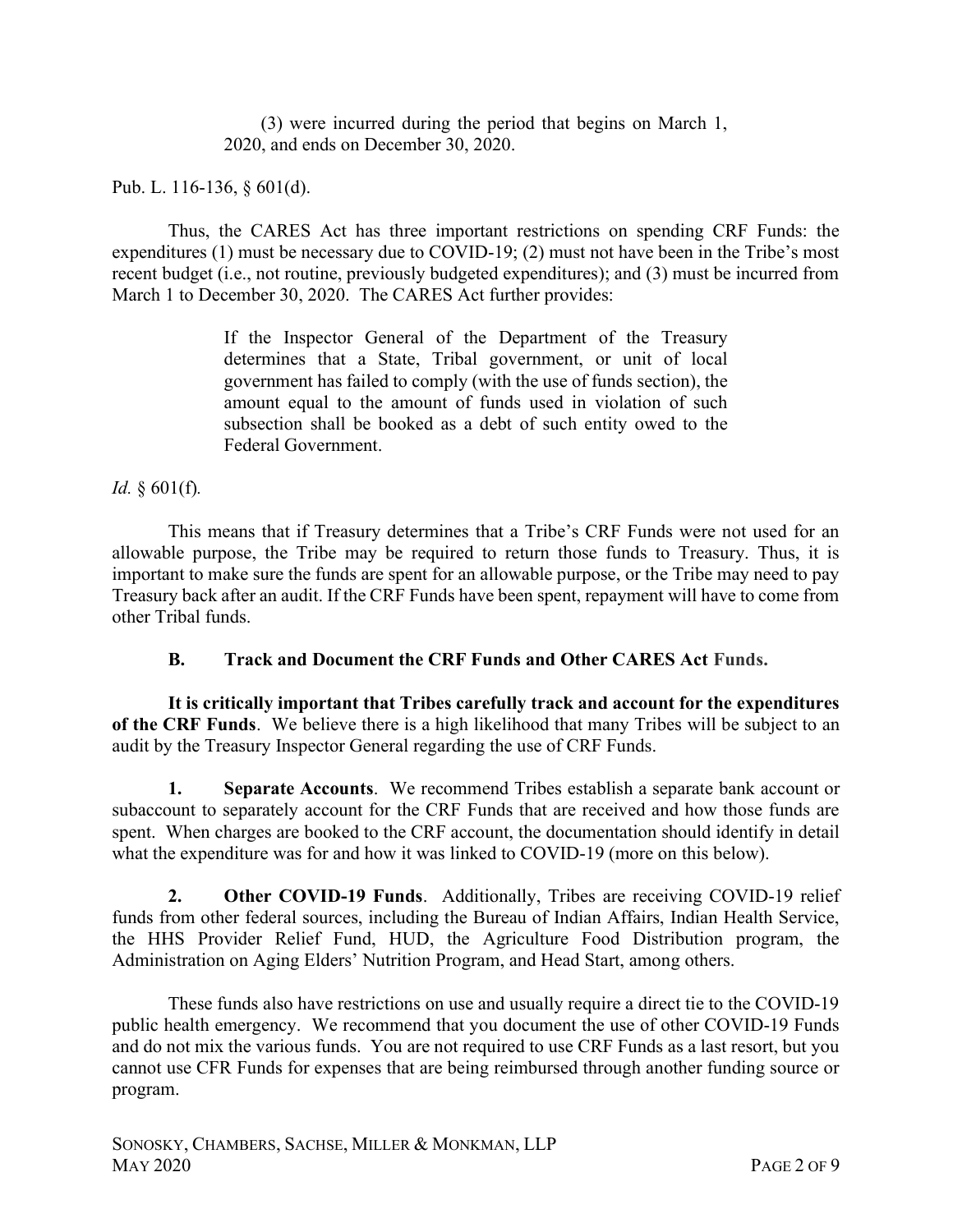(3) were incurred during the period that begins on March 1, 2020, and ends on December 30, 2020.

Pub. L. 116-136, § 601(d).

Thus, the CARES Act has three important restrictions on spending CRF Funds: the expenditures (1) must be necessary due to COVID-19; (2) must not have been in the Tribe's most recent budget (i.e., not routine, previously budgeted expenditures); and (3) must be incurred from March 1 to December 30, 2020. The CARES Act further provides:

> If the Inspector General of the Department of the Treasury determines that a State, Tribal government, or unit of local government has failed to comply (with the use of funds section), the amount equal to the amount of funds used in violation of such subsection shall be booked as a debt of such entity owed to the Federal Government.

Id.  $§ 601(f)$ .

This means that if Treasury determines that a Tribe's CRF Funds were not used for an allowable purpose, the Tribe may be required to return those funds to Treasury. Thus, it is important to make sure the funds are spent for an allowable purpose, or the Tribe may need to pay Treasury back after an audit. If the CRF Funds have been spent, repayment will have to come from other Tribal funds.

B. Track and Document the CRF Funds and Other CARES Act Funds.

It is critically important that Tribes carefully track and account for the expenditures of the CRF Funds. We believe there is a high likelihood that many Tribes will be subject to an audit by the Treasury Inspector General regarding the use of CRF Funds.

1. Separate Accounts. We recommend Tribes establish a separate bank account or subaccount to separately account for the CRF Funds that are received and how those funds are spent. When charges are booked to the CRF account, the documentation should identify in detail what the expenditure was for and how it was linked to COVID-19 (more on this below).

2. Other COVID-19 Funds. Additionally, Tribes are receiving COVID-19 relief funds from other federal sources, including the Bureau of Indian Affairs, Indian Health Service, the HHS Provider Relief Fund, HUD, the Agriculture Food Distribution program, the Administration on Aging Elders' Nutrition Program, and Head Start, among others.

These funds also have restrictions on use and usually require a direct tie to the COVID-19 public health emergency. We recommend that you document the use of other COVID-19 Funds and do not mix the various funds. You are not required to use CRF Funds as a last resort, but you cannot use CFR Funds for expenses that are being reimbursed through another funding source or program.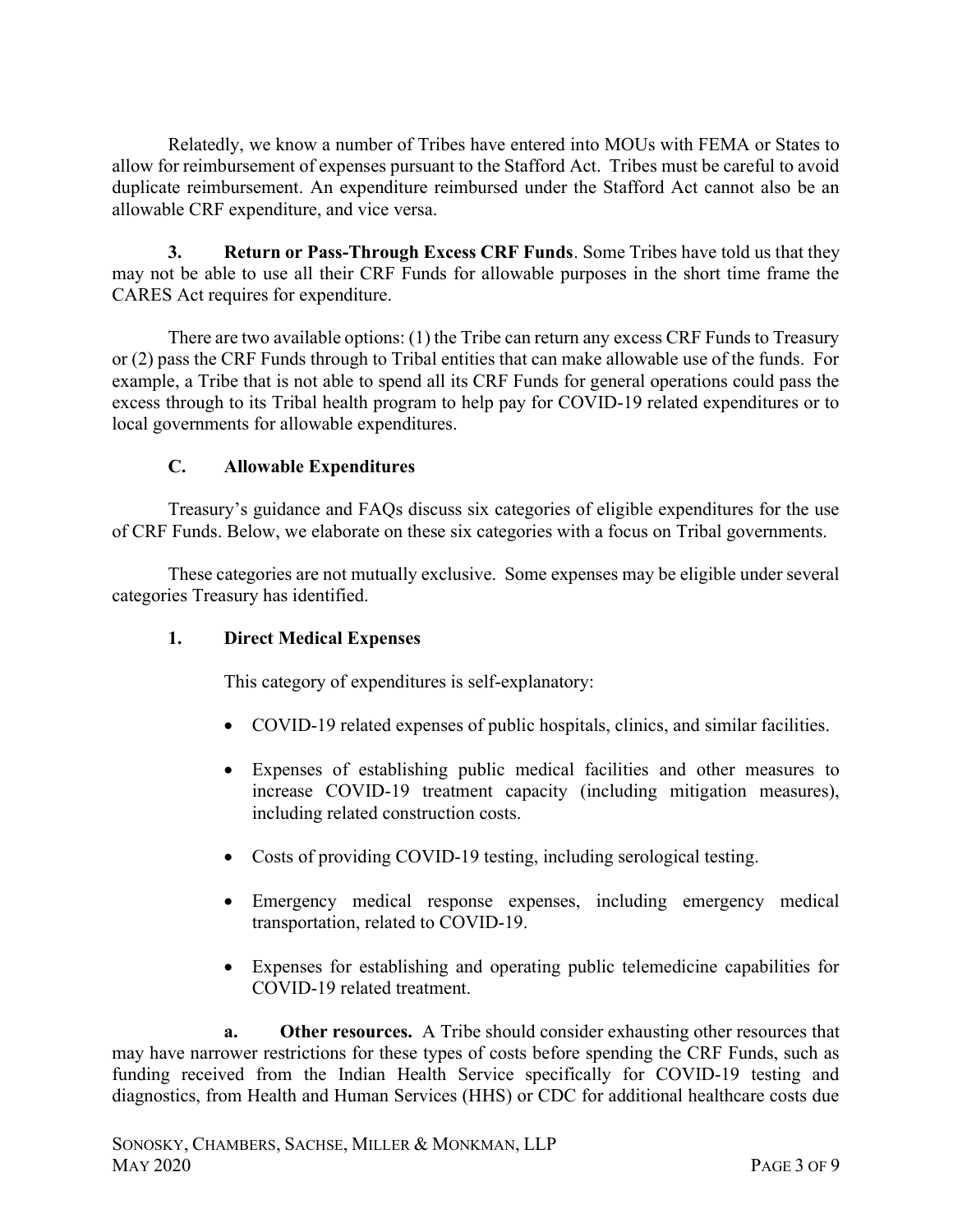Relatedly, we know a number of Tribes have entered into MOUs with FEMA or States to allow for reimbursement of expenses pursuant to the Stafford Act. Tribes must be careful to avoid duplicate reimbursement. An expenditure reimbursed under the Stafford Act cannot also be an allowable CRF expenditure, and vice versa.

3. Return or Pass-Through Excess CRF Funds. Some Tribes have told us that they may not be able to use all their CRF Funds for allowable purposes in the short time frame the CARES Act requires for expenditure.

There are two available options: (1) the Tribe can return any excess CRF Funds to Treasury or (2) pass the CRF Funds through to Tribal entities that can make allowable use of the funds. For example, a Tribe that is not able to spend all its CRF Funds for general operations could pass the excess through to its Tribal health program to help pay for COVID-19 related expenditures or to local governments for allowable expenditures.

## C. Allowable Expenditures

Treasury's guidance and FAQs discuss six categories of eligible expenditures for the use of CRF Funds. Below, we elaborate on these six categories with a focus on Tribal governments.

These categories are not mutually exclusive. Some expenses may be eligible under several categories Treasury has identified.

### 1. Direct Medical Expenses

This category of expenditures is self-explanatory:

- COVID-19 related expenses of public hospitals, clinics, and similar facilities.
- Expenses of establishing public medical facilities and other measures to increase COVID-19 treatment capacity (including mitigation measures), including related construction costs.
- Costs of providing COVID-19 testing, including serological testing.
- Emergency medical response expenses, including emergency medical transportation, related to COVID-19.
- Expenses for establishing and operating public telemedicine capabilities for COVID-19 related treatment.

a. Other resources. A Tribe should consider exhausting other resources that may have narrower restrictions for these types of costs before spending the CRF Funds, such as funding received from the Indian Health Service specifically for COVID-19 testing and diagnostics, from Health and Human Services (HHS) or CDC for additional healthcare costs due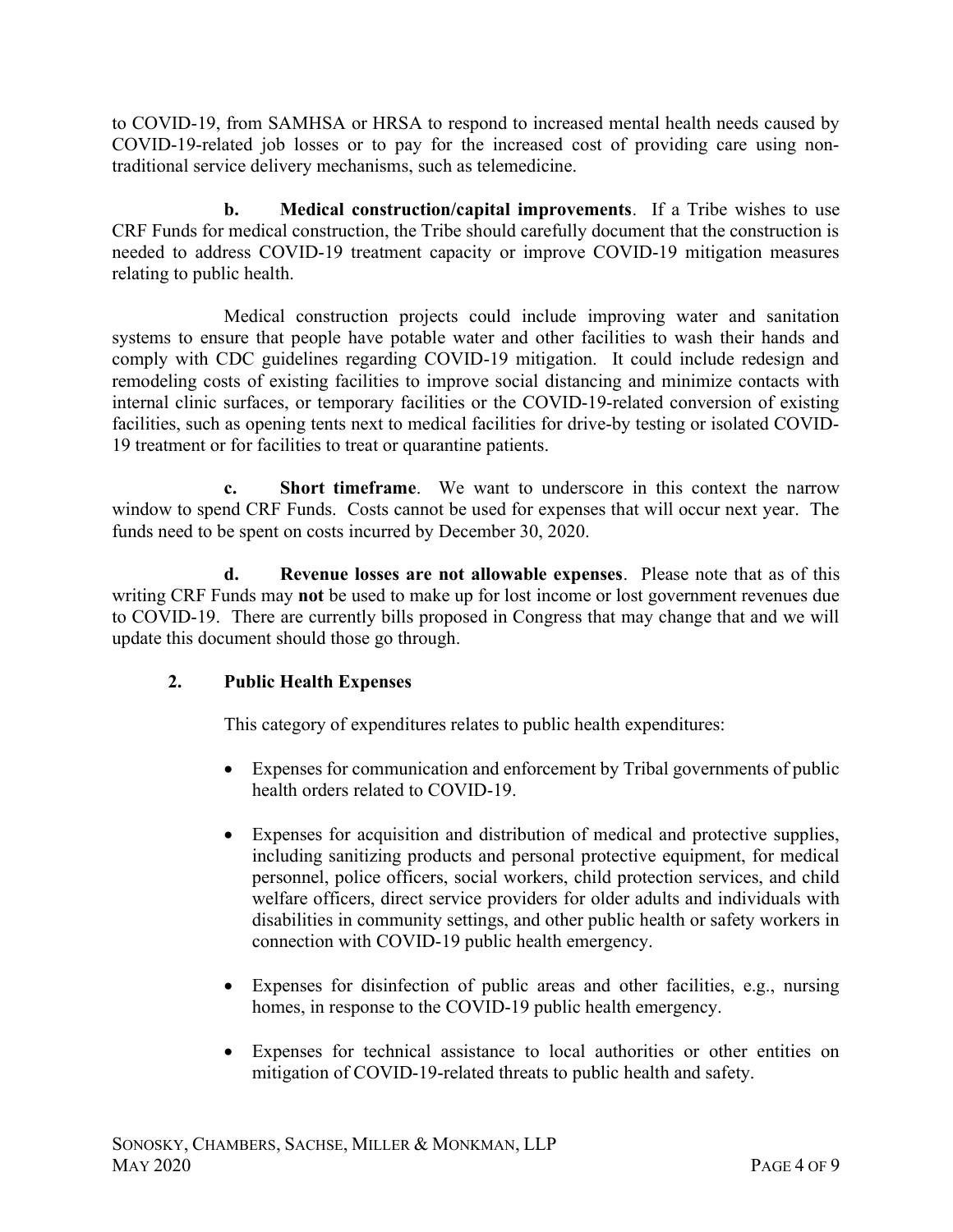to COVID-19, from SAMHSA or HRSA to respond to increased mental health needs caused by COVID-19-related job losses or to pay for the increased cost of providing care using nontraditional service delivery mechanisms, such as telemedicine.

b. Medical construction/capital improvements. If a Tribe wishes to use CRF Funds for medical construction, the Tribe should carefully document that the construction is needed to address COVID-19 treatment capacity or improve COVID-19 mitigation measures relating to public health.

Medical construction projects could include improving water and sanitation systems to ensure that people have potable water and other facilities to wash their hands and comply with CDC guidelines regarding COVID-19 mitigation. It could include redesign and remodeling costs of existing facilities to improve social distancing and minimize contacts with internal clinic surfaces, or temporary facilities or the COVID-19-related conversion of existing facilities, such as opening tents next to medical facilities for drive-by testing or isolated COVID-19 treatment or for facilities to treat or quarantine patients.

**Short timeframe.** We want to underscore in this context the narrow window to spend CRF Funds. Costs cannot be used for expenses that will occur next year. The funds need to be spent on costs incurred by December 30, 2020.

d. Revenue losses are not allowable expenses. Please note that as of this writing CRF Funds may not be used to make up for lost income or lost government revenues due to COVID-19. There are currently bills proposed in Congress that may change that and we will update this document should those go through.

# 2. Public Health Expenses

This category of expenditures relates to public health expenditures:

- Expenses for communication and enforcement by Tribal governments of public health orders related to COVID-19.
- Expenses for acquisition and distribution of medical and protective supplies, including sanitizing products and personal protective equipment, for medical personnel, police officers, social workers, child protection services, and child welfare officers, direct service providers for older adults and individuals with disabilities in community settings, and other public health or safety workers in connection with COVID-19 public health emergency.
- Expenses for disinfection of public areas and other facilities, e.g., nursing homes, in response to the COVID-19 public health emergency.
- Expenses for technical assistance to local authorities or other entities on mitigation of COVID-19-related threats to public health and safety.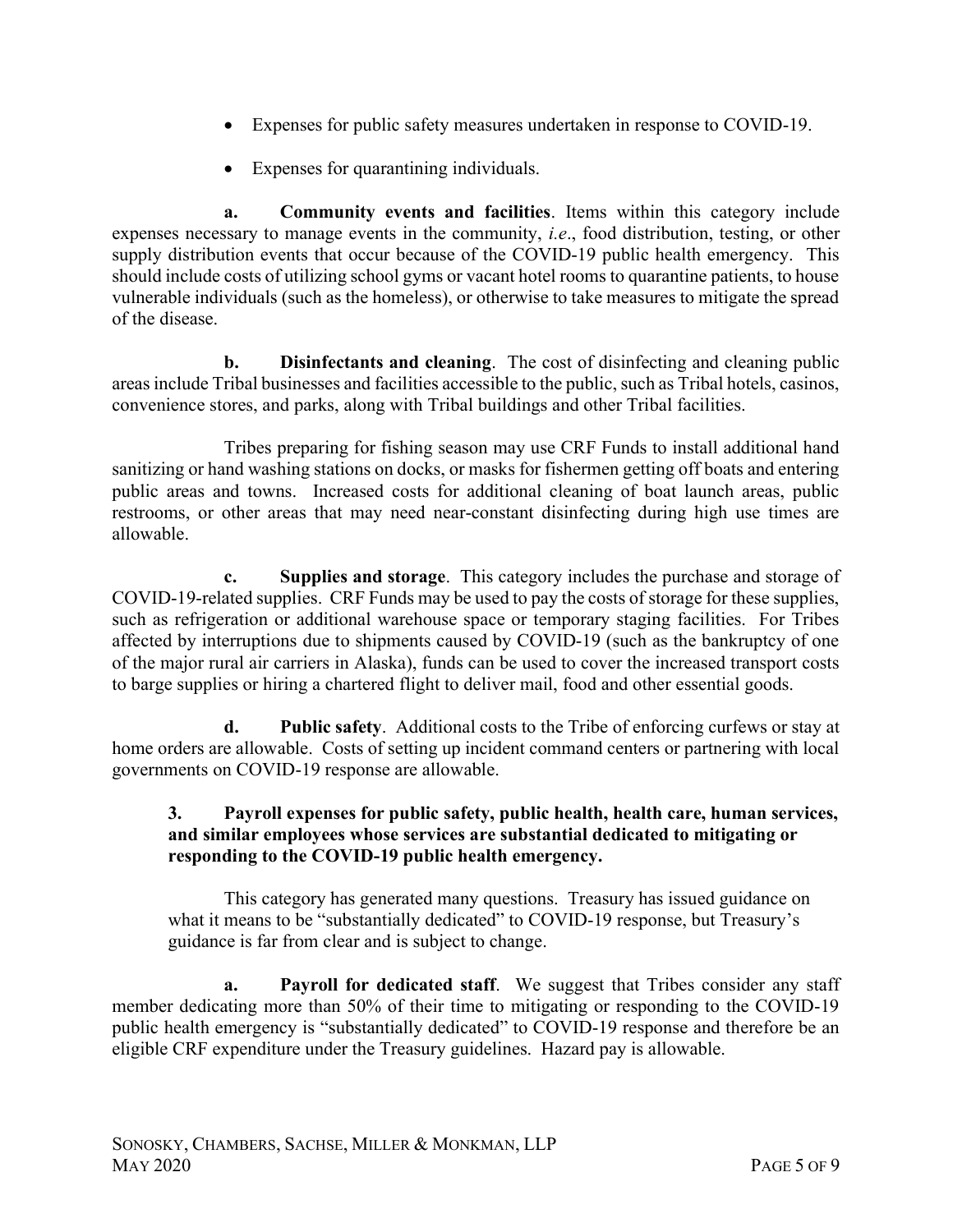- Expenses for public safety measures undertaken in response to COVID-19.
- Expenses for quarantining individuals.

a. Community events and facilities. Items within this category include expenses necessary to manage events in the community, i.e., food distribution, testing, or other supply distribution events that occur because of the COVID-19 public health emergency. This should include costs of utilizing school gyms or vacant hotel rooms to quarantine patients, to house vulnerable individuals (such as the homeless), or otherwise to take measures to mitigate the spread of the disease.

b. Disinfectants and cleaning. The cost of disinfecting and cleaning public areas include Tribal businesses and facilities accessible to the public, such as Tribal hotels, casinos, convenience stores, and parks, along with Tribal buildings and other Tribal facilities.

Tribes preparing for fishing season may use CRF Funds to install additional hand sanitizing or hand washing stations on docks, or masks for fishermen getting off boats and entering public areas and towns. Increased costs for additional cleaning of boat launch areas, public restrooms, or other areas that may need near-constant disinfecting during high use times are allowable.

c. Supplies and storage. This category includes the purchase and storage of COVID-19-related supplies. CRF Funds may be used to pay the costs of storage for these supplies, such as refrigeration or additional warehouse space or temporary staging facilities. For Tribes affected by interruptions due to shipments caused by COVID-19 (such as the bankruptcy of one of the major rural air carriers in Alaska), funds can be used to cover the increased transport costs to barge supplies or hiring a chartered flight to deliver mail, food and other essential goods.

d. Public safety. Additional costs to the Tribe of enforcing curfews or stay at home orders are allowable. Costs of setting up incident command centers or partnering with local governments on COVID-19 response are allowable.

### 3. Payroll expenses for public safety, public health, health care, human services, and similar employees whose services are substantial dedicated to mitigating or responding to the COVID-19 public health emergency.

This category has generated many questions. Treasury has issued guidance on what it means to be "substantially dedicated" to COVID-19 response, but Treasury's guidance is far from clear and is subject to change.

a. Payroll for dedicated staff. We suggest that Tribes consider any staff member dedicating more than 50% of their time to mitigating or responding to the COVID-19 public health emergency is "substantially dedicated" to COVID-19 response and therefore be an eligible CRF expenditure under the Treasury guidelines. Hazard pay is allowable.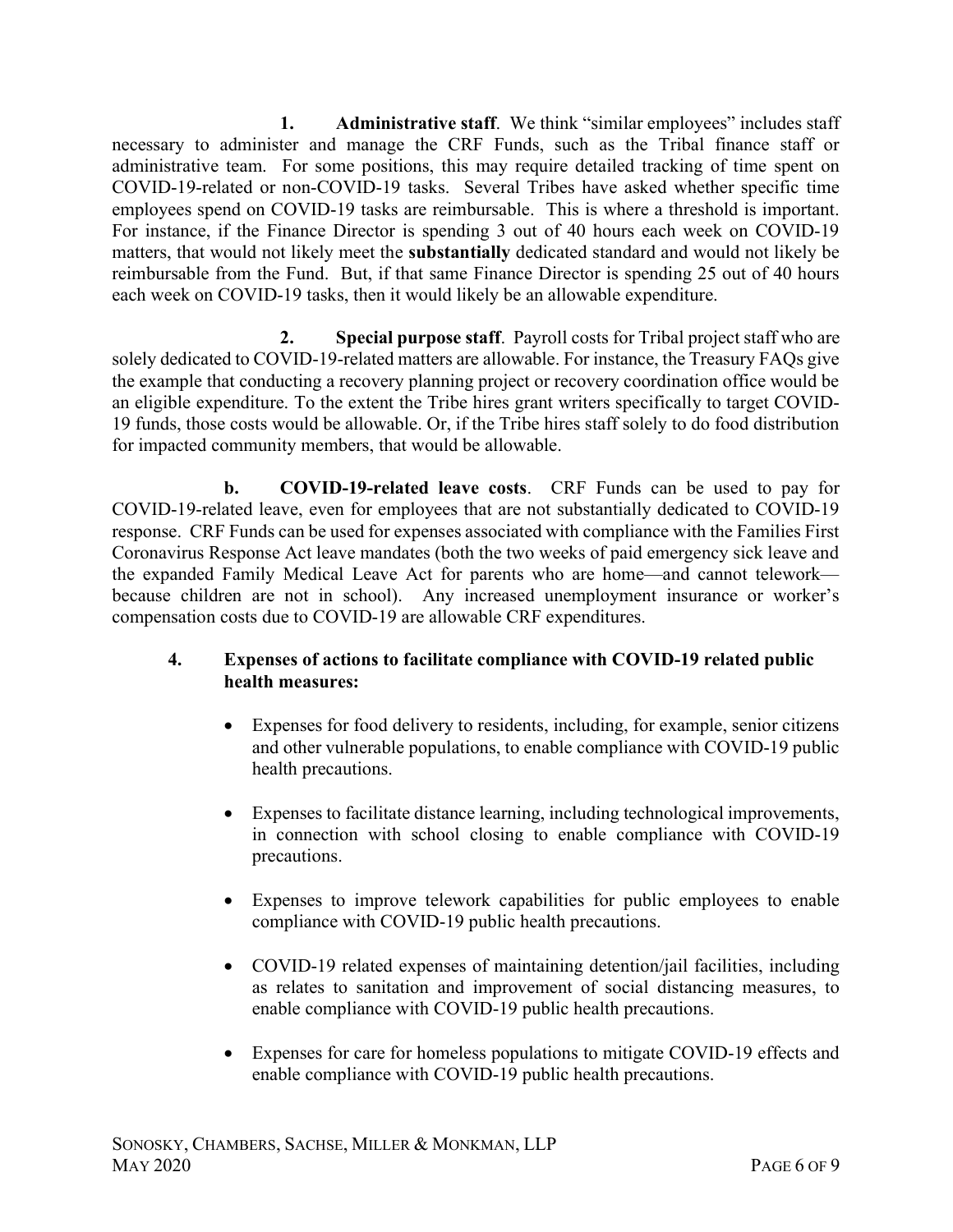1. Administrative staff. We think "similar employees" includes staff necessary to administer and manage the CRF Funds, such as the Tribal finance staff or administrative team. For some positions, this may require detailed tracking of time spent on COVID-19-related or non-COVID-19 tasks. Several Tribes have asked whether specific time employees spend on COVID-19 tasks are reimbursable. This is where a threshold is important. For instance, if the Finance Director is spending 3 out of 40 hours each week on COVID-19 matters, that would not likely meet the substantially dedicated standard and would not likely be reimbursable from the Fund. But, if that same Finance Director is spending 25 out of 40 hours each week on COVID-19 tasks, then it would likely be an allowable expenditure.

2. Special purpose staff. Payroll costs for Tribal project staff who are solely dedicated to COVID-19-related matters are allowable. For instance, the Treasury FAQs give the example that conducting a recovery planning project or recovery coordination office would be an eligible expenditure. To the extent the Tribe hires grant writers specifically to target COVID-19 funds, those costs would be allowable. Or, if the Tribe hires staff solely to do food distribution for impacted community members, that would be allowable.

b. COVID-19-related leave costs. CRF Funds can be used to pay for COVID-19-related leave, even for employees that are not substantially dedicated to COVID-19 response. CRF Funds can be used for expenses associated with compliance with the Families First Coronavirus Response Act leave mandates (both the two weeks of paid emergency sick leave and the expanded Family Medical Leave Act for parents who are home—and cannot telework because children are not in school). Any increased unemployment insurance or worker's compensation costs due to COVID-19 are allowable CRF expenditures.

### 4. Expenses of actions to facilitate compliance with COVID-19 related public health measures:

- Expenses for food delivery to residents, including, for example, senior citizens and other vulnerable populations, to enable compliance with COVID-19 public health precautions.
- Expenses to facilitate distance learning, including technological improvements, in connection with school closing to enable compliance with COVID-19 precautions.
- Expenses to improve telework capabilities for public employees to enable compliance with COVID-19 public health precautions.
- COVID-19 related expenses of maintaining detention/jail facilities, including as relates to sanitation and improvement of social distancing measures, to enable compliance with COVID-19 public health precautions.
- Expenses for care for homeless populations to mitigate COVID-19 effects and enable compliance with COVID-19 public health precautions.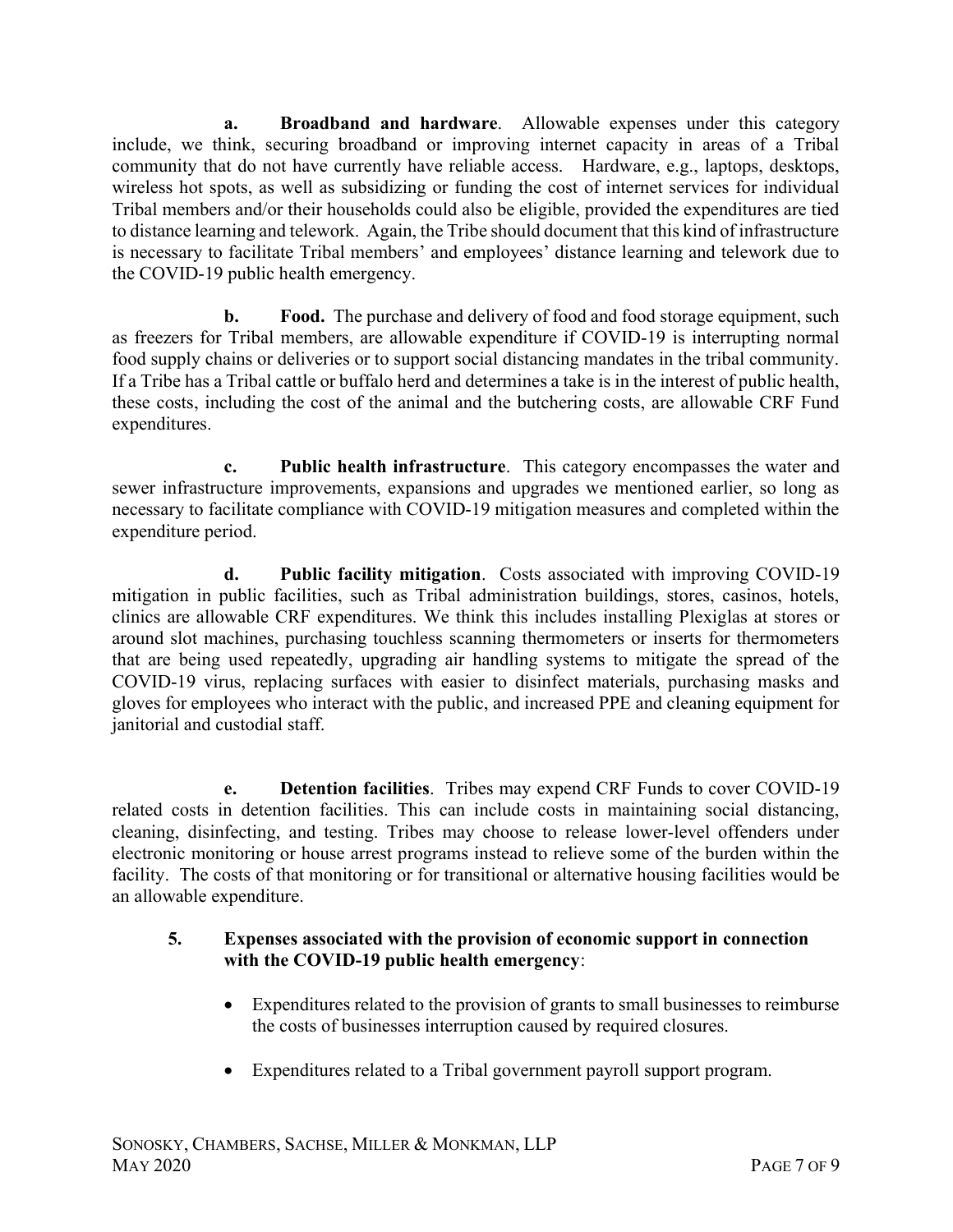a. Broadband and hardware. Allowable expenses under this category include, we think, securing broadband or improving internet capacity in areas of a Tribal community that do not have currently have reliable access. Hardware, e.g., laptops, desktops, wireless hot spots, as well as subsidizing or funding the cost of internet services for individual Tribal members and/or their households could also be eligible, provided the expenditures are tied to distance learning and telework. Again, the Tribe should document that this kind of infrastructure is necessary to facilitate Tribal members' and employees' distance learning and telework due to the COVID-19 public health emergency.

**b.** Food. The purchase and delivery of food and food storage equipment, such as freezers for Tribal members, are allowable expenditure if COVID-19 is interrupting normal food supply chains or deliveries or to support social distancing mandates in the tribal community. If a Tribe has a Tribal cattle or buffalo herd and determines a take is in the interest of public health, these costs, including the cost of the animal and the butchering costs, are allowable CRF Fund expenditures.

c. Public health infrastructure. This category encompasses the water and sewer infrastructure improvements, expansions and upgrades we mentioned earlier, so long as necessary to facilitate compliance with COVID-19 mitigation measures and completed within the expenditure period.

d. Public facility mitigation. Costs associated with improving COVID-19 mitigation in public facilities, such as Tribal administration buildings, stores, casinos, hotels, clinics are allowable CRF expenditures. We think this includes installing Plexiglas at stores or around slot machines, purchasing touchless scanning thermometers or inserts for thermometers that are being used repeatedly, upgrading air handling systems to mitigate the spread of the COVID-19 virus, replacing surfaces with easier to disinfect materials, purchasing masks and gloves for employees who interact with the public, and increased PPE and cleaning equipment for janitorial and custodial staff.

e. Detention facilities. Tribes may expend CRF Funds to cover COVID-19 related costs in detention facilities. This can include costs in maintaining social distancing, cleaning, disinfecting, and testing. Tribes may choose to release lower-level offenders under electronic monitoring or house arrest programs instead to relieve some of the burden within the facility. The costs of that monitoring or for transitional or alternative housing facilities would be an allowable expenditure.

### 5. Expenses associated with the provision of economic support in connection with the COVID-19 public health emergency:

- Expenditures related to the provision of grants to small businesses to reimburse the costs of businesses interruption caused by required closures.
- Expenditures related to a Tribal government payroll support program.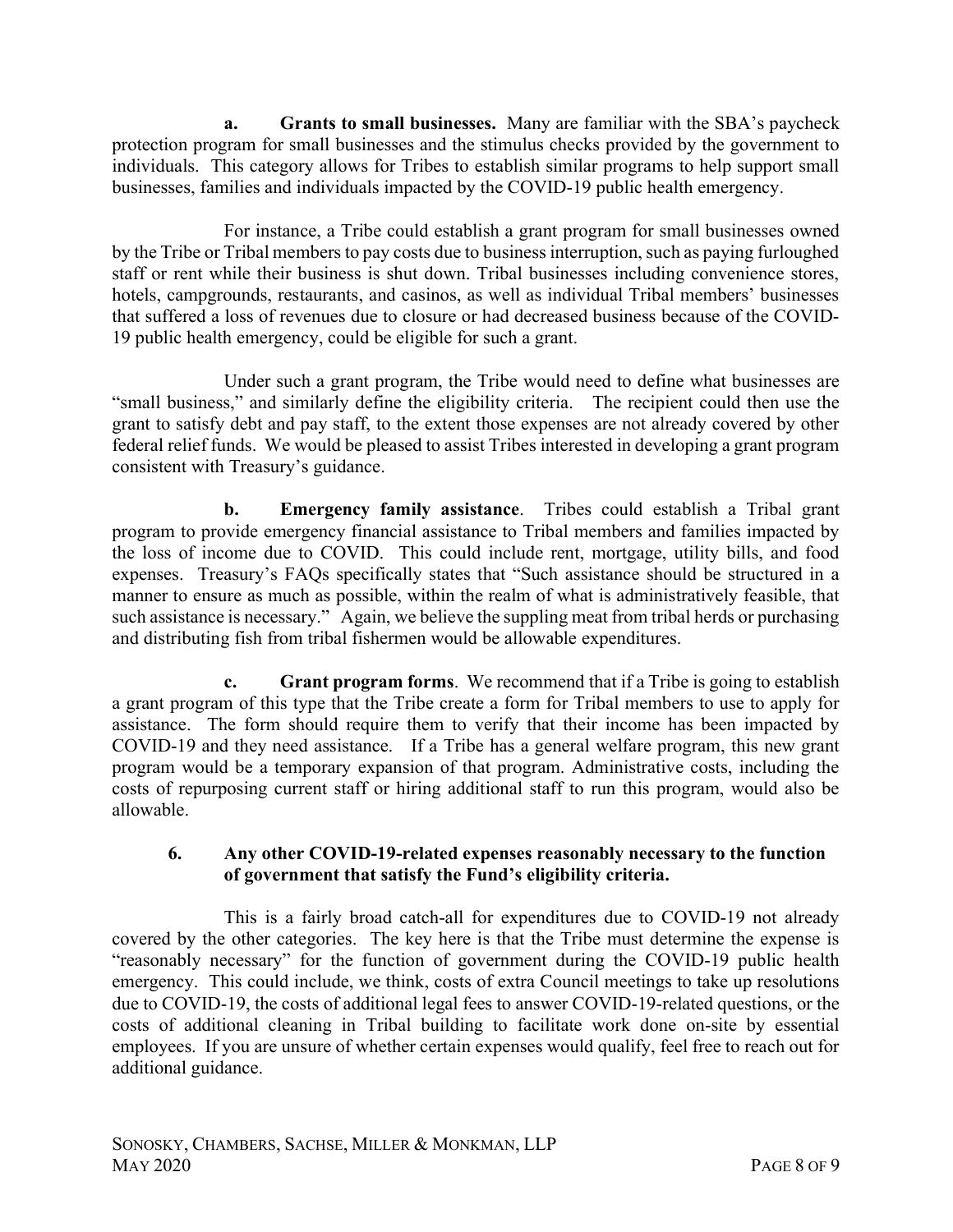Grants to small businesses. Many are familiar with the SBA's paycheck protection program for small businesses and the stimulus checks provided by the government to individuals. This category allows for Tribes to establish similar programs to help support small businesses, families and individuals impacted by the COVID-19 public health emergency.

For instance, a Tribe could establish a grant program for small businesses owned by the Tribe or Tribal members to pay costs due to business interruption, such as paying furloughed staff or rent while their business is shut down. Tribal businesses including convenience stores, hotels, campgrounds, restaurants, and casinos, as well as individual Tribal members' businesses that suffered a loss of revenues due to closure or had decreased business because of the COVID-19 public health emergency, could be eligible for such a grant.

Under such a grant program, the Tribe would need to define what businesses are "small business," and similarly define the eligibility criteria. The recipient could then use the grant to satisfy debt and pay staff, to the extent those expenses are not already covered by other federal relief funds. We would be pleased to assist Tribes interested in developing a grant program consistent with Treasury's guidance.

b. Emergency family assistance. Tribes could establish a Tribal grant program to provide emergency financial assistance to Tribal members and families impacted by the loss of income due to COVID. This could include rent, mortgage, utility bills, and food expenses. Treasury's FAQs specifically states that "Such assistance should be structured in a manner to ensure as much as possible, within the realm of what is administratively feasible, that such assistance is necessary." Again, we believe the suppling meat from tribal herds or purchasing and distributing fish from tribal fishermen would be allowable expenditures.

Grant program forms. We recommend that if a Tribe is going to establish a grant program of this type that the Tribe create a form for Tribal members to use to apply for assistance. The form should require them to verify that their income has been impacted by COVID-19 and they need assistance. If a Tribe has a general welfare program, this new grant program would be a temporary expansion of that program. Administrative costs, including the costs of repurposing current staff or hiring additional staff to run this program, would also be allowable.

#### 6. Any other COVID-19-related expenses reasonably necessary to the function of government that satisfy the Fund's eligibility criteria.

This is a fairly broad catch-all for expenditures due to COVID-19 not already covered by the other categories. The key here is that the Tribe must determine the expense is "reasonably necessary" for the function of government during the COVID-19 public health emergency. This could include, we think, costs of extra Council meetings to take up resolutions due to COVID-19, the costs of additional legal fees to answer COVID-19-related questions, or the costs of additional cleaning in Tribal building to facilitate work done on-site by essential employees. If you are unsure of whether certain expenses would qualify, feel free to reach out for additional guidance.